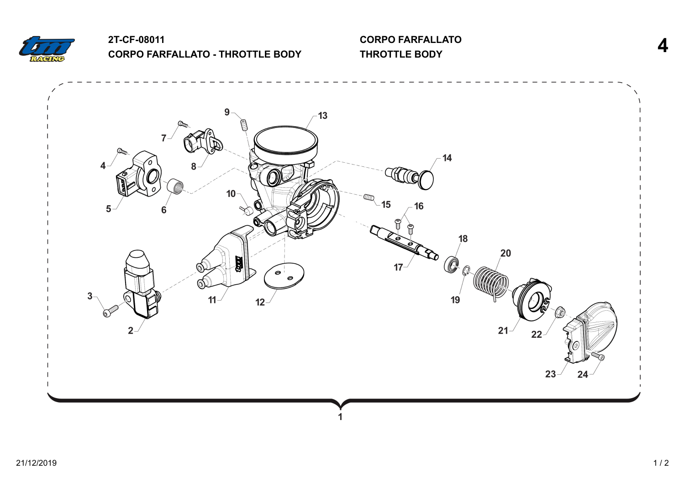

## **2T-CF-08011**

**CORPO FARFALLATO - THROTTLE BODY**

**CORPO FARFALLATO THROTTLE BODY 4**